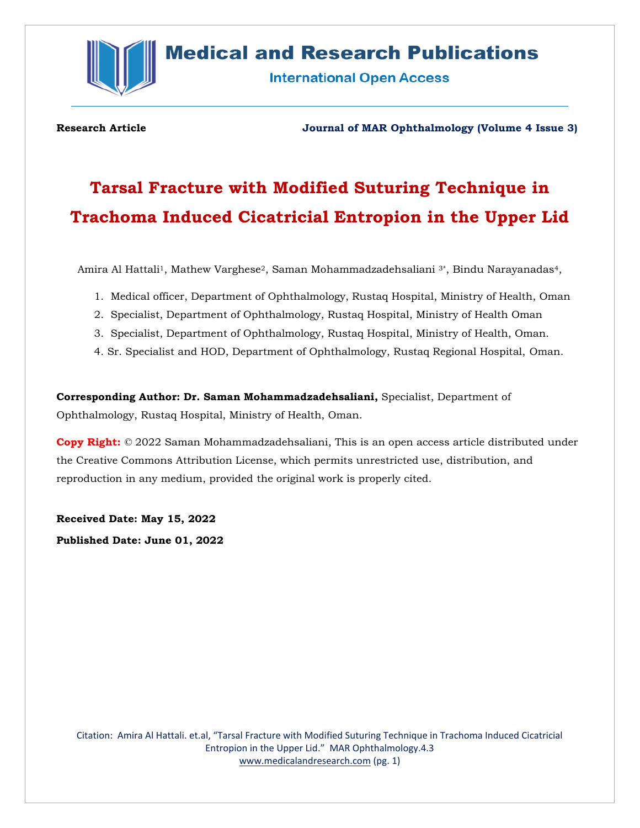

## **Medical and Research Publications**

**International Open Access** 

#### **Research Article Journal of MAR Ophthalmology (Volume 4 Issue 3)**

# **Tarsal Fracture with Modified Suturing Technique in Trachoma Induced Cicatricial Entropion in the Upper Lid**

Amira Al Hattali<sup>1</sup>, Mathew Varghese<sup>2</sup>, Saman Mohammadzadehsaliani <sup>3\*</sup>, Bindu Narayanadas<sup>4</sup>,

- 1. Medical officer, Department of Ophthalmology, Rustaq Hospital, Ministry of Health, Oman
- 2. Specialist, Department of Ophthalmology, Rustaq Hospital, Ministry of Health Oman
- 3. Specialist, Department of Ophthalmology, Rustaq Hospital, Ministry of Health, Oman.
- 4. Sr. Specialist and HOD, Department of Ophthalmology, Rustaq Regional Hospital, Oman.

**Corresponding Author: Dr. Saman Mohammadzadehsaliani,** Specialist, Department of Ophthalmology, Rustaq Hospital, Ministry of Health, Oman.

**Copy Right:** © 2022 Saman Mohammadzadehsaliani, This is an open access article distributed under the Creative Commons Attribution License, which permits unrestricted use, distribution, and reproduction in any medium, provided the original work is properly cited.

**Received Date: May 15, 2022**

**Published Date: June 01, 2022**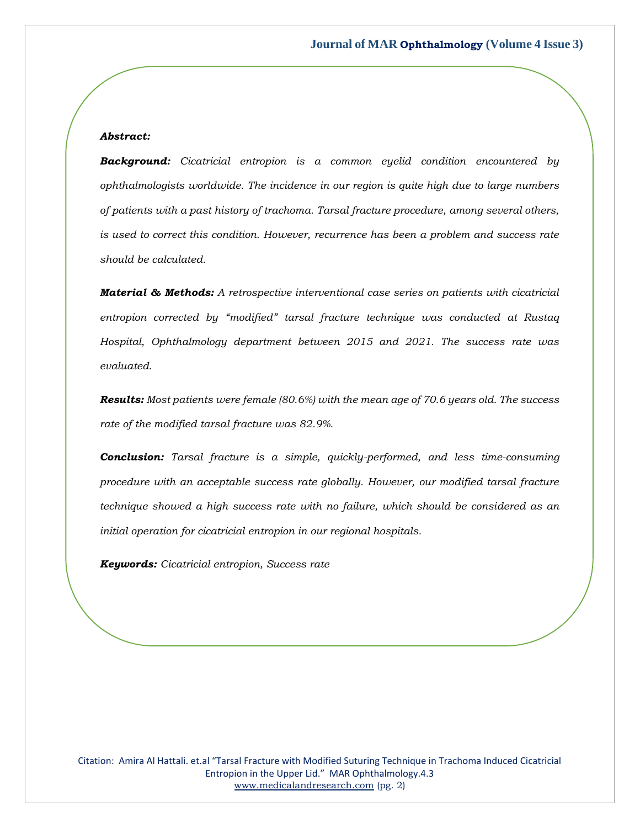#### *Abstract:*

*Background: Cicatricial entropion is a common eyelid condition encountered by ophthalmologists worldwide. The incidence in our region is quite high due to large numbers of patients with a past history of trachoma. Tarsal fracture procedure, among several others, is used to correct this condition. However, recurrence has been a problem and success rate should be calculated.* 

*Material & Methods: A retrospective interventional case series on patients with cicatricial entropion corrected by "modified" tarsal fracture technique was conducted at Rustaq Hospital, Ophthalmology department between 2015 and 2021. The success rate was evaluated.*

*Results: Most patients were female (80.6%) with the mean age of 70.6 years old. The success rate of the modified tarsal fracture was 82.9%.* 

*Conclusion: Tarsal fracture is a simple, quickly-performed, and less time-consuming procedure with an acceptable success rate globally. However, our modified tarsal fracture technique showed a high success rate with no failure, which should be considered as an initial operation for cicatricial entropion in our regional hospitals.*

*Keywords: Cicatricial entropion, Success rate*

Citation: Amira Al Hattali. et.al "Tarsal Fracture with Modified Suturing Technique in Trachoma Induced Cicatricial Entropion in the Upper Lid." MAR Ophthalmology.4.3 [www.medicalandresearch.com](http://www.medicalandresearch.com/) (pg. 2)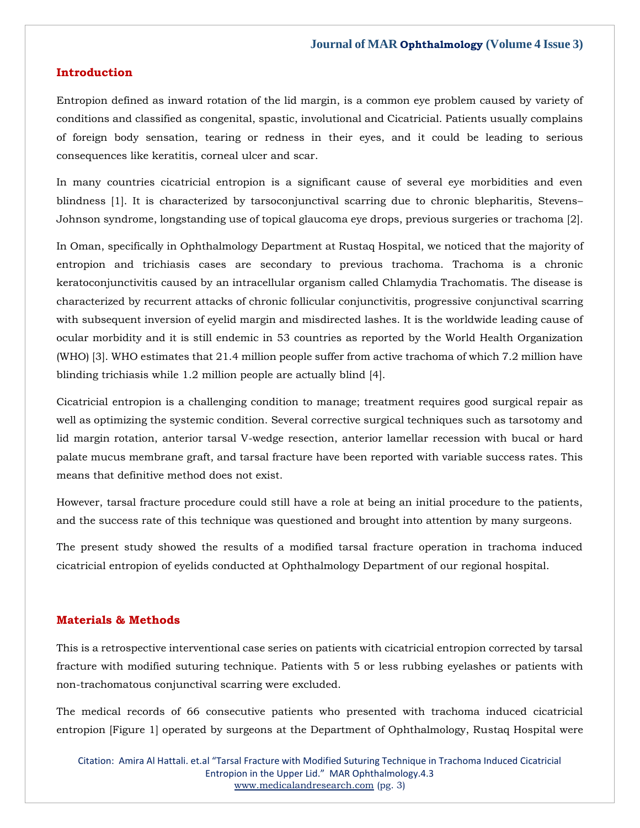#### **Introduction**

Entropion defined as inward rotation of the lid margin, is a common eye problem caused by variety of conditions and classified as congenital, spastic, involutional and Cicatricial. Patients usually complains of foreign body sensation, tearing or redness in their eyes, and it could be leading to serious consequences like keratitis, corneal ulcer and scar.

In many countries cicatricial entropion is a significant cause of several eye morbidities and even blindness [1]. It is characterized by tarsoconjunctival scarring due to chronic blepharitis, Stevens– Johnson syndrome, longstanding use of topical glaucoma eye drops, previous surgeries or trachoma [2].

In Oman, specifically in Ophthalmology Department at Rustaq Hospital, we noticed that the majority of entropion and trichiasis cases are secondary to previous trachoma. Trachoma is a chronic keratoconjunctivitis caused by an intracellular organism called Chlamydia Trachomatis. The disease is characterized by recurrent attacks of chronic follicular conjunctivitis, progressive conjunctival scarring with subsequent inversion of eyelid margin and misdirected lashes. It is the worldwide leading cause of ocular morbidity and it is still endemic in 53 countries as reported by the World Health Organization (WHO) [3]. WHO estimates that 21.4 million people suffer from active trachoma of which 7.2 million have blinding trichiasis while 1.2 million people are actually blind [4].

Cicatricial entropion is a challenging condition to manage; treatment requires good surgical repair as well as optimizing the systemic condition. Several corrective surgical techniques such as tarsotomy and lid margin rotation, anterior tarsal V-wedge resection, anterior lamellar recession with bucal or hard palate mucus membrane graft, and tarsal fracture have been reported with variable success rates. This means that definitive method does not exist.

However, tarsal fracture procedure could still have a role at being an initial procedure to the patients, and the success rate of this technique was questioned and brought into attention by many surgeons.

The present study showed the results of a modified tarsal fracture operation in trachoma induced cicatricial entropion of eyelids conducted at Ophthalmology Department of our regional hospital.

#### **Materials & Methods**

This is a retrospective interventional case series on patients with cicatricial entropion corrected by tarsal fracture with modified suturing technique. Patients with 5 or less rubbing eyelashes or patients with non-trachomatous conjunctival scarring were excluded.

The medical records of 66 consecutive patients who presented with trachoma induced cicatricial entropion [Figure 1] operated by surgeons at the Department of Ophthalmology, Rustaq Hospital were

Citation: Amira Al Hattali. et.al "Tarsal Fracture with Modified Suturing Technique in Trachoma Induced Cicatricial Entropion in the Upper Lid." MAR Ophthalmology.4.3 [www.medicalandresearch.com](http://www.medicalandresearch.com/) (pg. 3)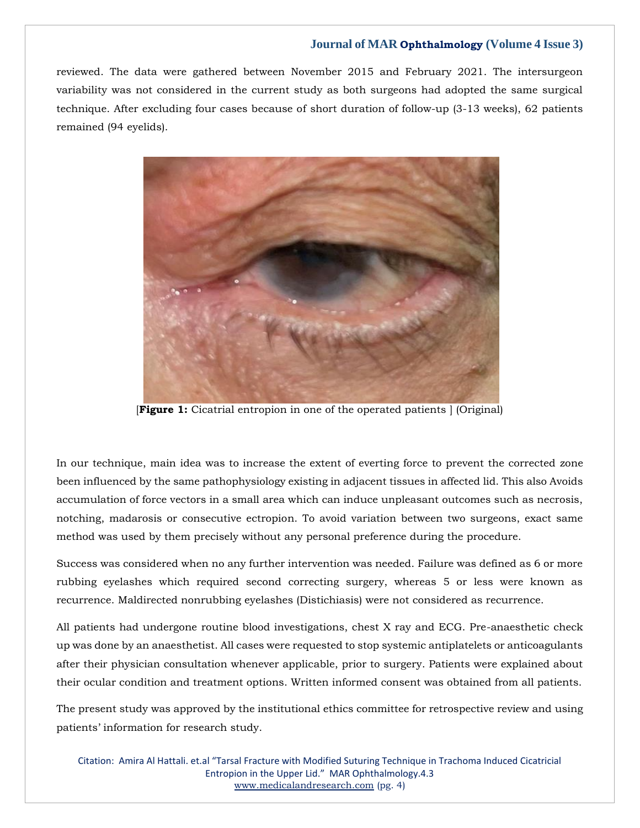reviewed. The data were gathered between November 2015 and February 2021. The intersurgeon variability was not considered in the current study as both surgeons had adopted the same surgical technique. After excluding four cases because of short duration of follow-up (3-13 weeks), 62 patients remained (94 eyelids).



[**Figure 1:** Cicatrial entropion in one of the operated patients ] (Original)

In our technique, main idea was to increase the extent of everting force to prevent the corrected zone been influenced by the same pathophysiology existing in adjacent tissues in affected lid. This also Avoids accumulation of force vectors in a small area which can induce unpleasant outcomes such as necrosis, notching, madarosis or consecutive ectropion. To avoid variation between two surgeons, exact same method was used by them precisely without any personal preference during the procedure.

Success was considered when no any further intervention was needed. Failure was defined as 6 or more rubbing eyelashes which required second correcting surgery, whereas 5 or less were known as recurrence. Maldirected nonrubbing eyelashes (Distichiasis) were not considered as recurrence.

All patients had undergone routine blood investigations, chest X ray and ECG. Pre-anaesthetic check up was done by an anaesthetist. All cases were requested to stop systemic antiplatelets or anticoagulants after their physician consultation whenever applicable, prior to surgery. Patients were explained about their ocular condition and treatment options. Written informed consent was obtained from all patients.

The present study was approved by the institutional ethics committee for retrospective review and using patients' information for research study.

Citation: Amira Al Hattali. et.al "Tarsal Fracture with Modified Suturing Technique in Trachoma Induced Cicatricial Entropion in the Upper Lid." MAR Ophthalmology.4.3 [www.medicalandresearch.com](http://www.medicalandresearch.com/) (pg. 4)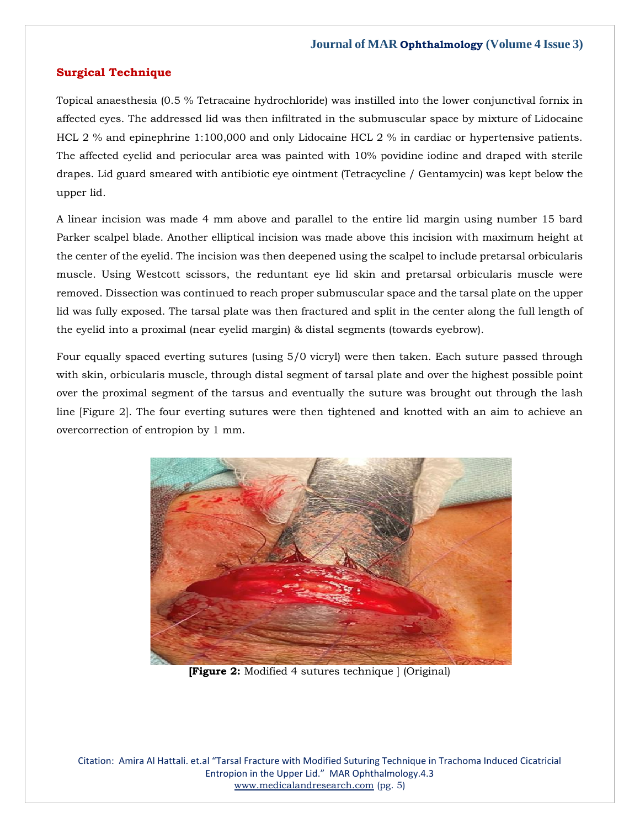#### **Surgical Technique**

Topical anaesthesia (0.5 % Tetracaine hydrochloride) was instilled into the lower conjunctival fornix in affected eyes. The addressed lid was then infiltrated in the submuscular space by mixture of Lidocaine HCL 2 % and epinephrine 1:100,000 and only Lidocaine HCL 2 % in cardiac or hypertensive patients. The affected eyelid and periocular area was painted with 10% povidine iodine and draped with sterile drapes. Lid guard smeared with antibiotic eye ointment (Tetracycline / Gentamycin) was kept below the upper lid.

A linear incision was made 4 mm above and parallel to the entire lid margin using number 15 bard Parker scalpel blade. Another elliptical incision was made above this incision with maximum height at the center of the eyelid. The incision was then deepened using the scalpel to include pretarsal orbicularis muscle. Using Westcott scissors, the reduntant eye lid skin and pretarsal orbicularis muscle were removed. Dissection was continued to reach proper submuscular space and the tarsal plate on the upper lid was fully exposed. The tarsal plate was then fractured and split in the center along the full length of the eyelid into a proximal (near eyelid margin) & distal segments (towards eyebrow).

Four equally spaced everting sutures (using 5/0 vicryl) were then taken. Each suture passed through with skin, orbicularis muscle, through distal segment of tarsal plate and over the highest possible point over the proximal segment of the tarsus and eventually the suture was brought out through the lash line [Figure 2]. The four everting sutures were then tightened and knotted with an aim to achieve an overcorrection of entropion by 1 mm.



**[Figure 2:** Modified 4 sutures technique ] (Original)

Citation: Amira Al Hattali. et.al "Tarsal Fracture with Modified Suturing Technique in Trachoma Induced Cicatricial Entropion in the Upper Lid." MAR Ophthalmology.4.3 [www.medicalandresearch.com](http://www.medicalandresearch.com/) (pg. 5)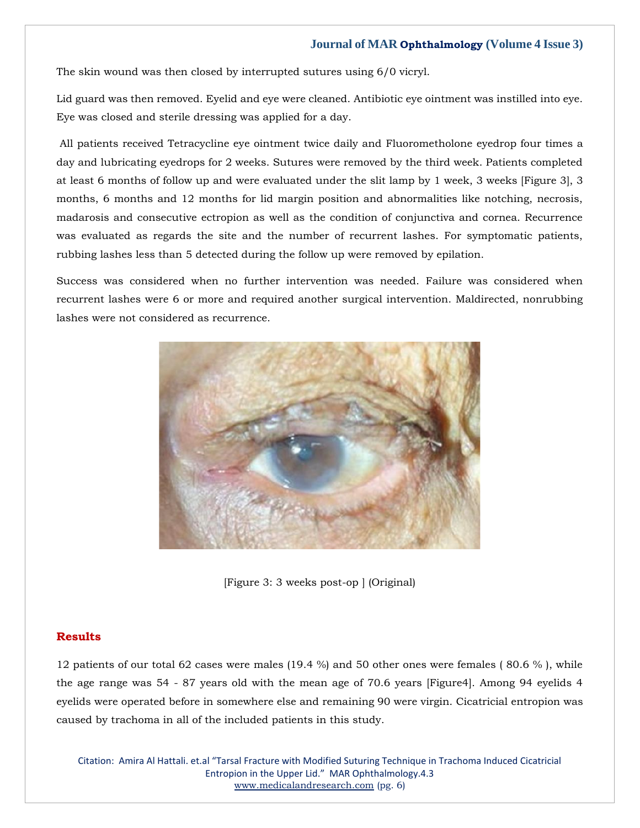The skin wound was then closed by interrupted sutures using 6/0 vicryl.

Lid guard was then removed. Eyelid and eye were cleaned. Antibiotic eye ointment was instilled into eye. Eye was closed and sterile dressing was applied for a day.

All patients received Tetracycline eye ointment twice daily and Fluorometholone eyedrop four times a day and lubricating eyedrops for 2 weeks. Sutures were removed by the third week. Patients completed at least 6 months of follow up and were evaluated under the slit lamp by 1 week, 3 weeks [Figure 3], 3 months, 6 months and 12 months for lid margin position and abnormalities like notching, necrosis, madarosis and consecutive ectropion as well as the condition of conjunctiva and cornea. Recurrence was evaluated as regards the site and the number of recurrent lashes. For symptomatic patients, rubbing lashes less than 5 detected during the follow up were removed by epilation.

Success was considered when no further intervention was needed. Failure was considered when recurrent lashes were 6 or more and required another surgical intervention. Maldirected, nonrubbing lashes were not considered as recurrence.



[Figure 3: 3 weeks post-op ] (Original)

#### **Results**

12 patients of our total 62 cases were males (19.4 %) and 50 other ones were females ( 80.6 % ), while the age range was 54 - 87 years old with the mean age of 70.6 years [Figure4]. Among 94 eyelids 4 eyelids were operated before in somewhere else and remaining 90 were virgin. Cicatricial entropion was caused by trachoma in all of the included patients in this study.

Citation: Amira Al Hattali. et.al "Tarsal Fracture with Modified Suturing Technique in Trachoma Induced Cicatricial Entropion in the Upper Lid." MAR Ophthalmology.4.3 [www.medicalandresearch.com](http://www.medicalandresearch.com/) (pg. 6)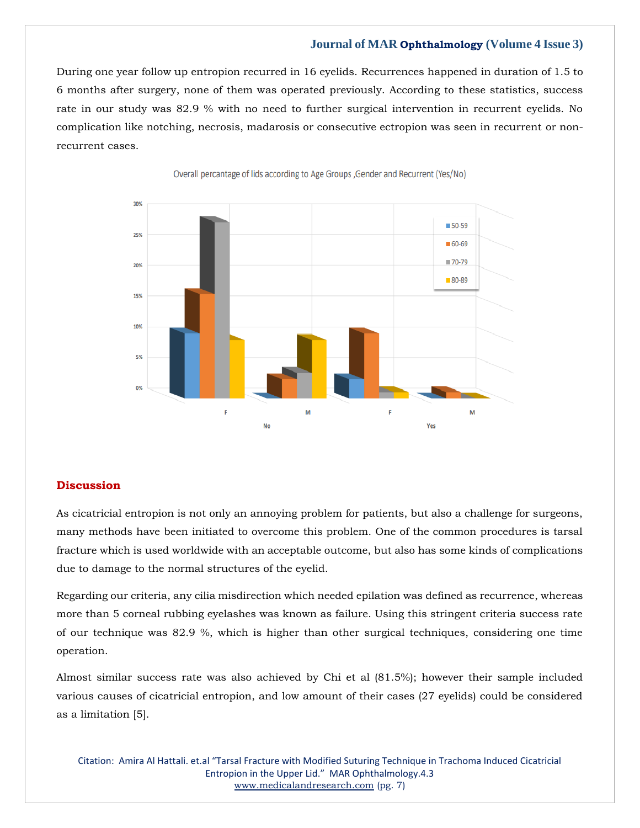During one year follow up entropion recurred in 16 eyelids. Recurrences happened in duration of 1.5 to 6 months after surgery, none of them was operated previously. According to these statistics, success rate in our study was 82.9 % with no need to further surgical intervention in recurrent eyelids. No complication like notching, necrosis, madarosis or consecutive ectropion was seen in recurrent or nonrecurrent cases.



Overall percantage of lids according to Age Groups, Gender and Recurrent (Yes/No)

#### **Discussion**

As cicatricial entropion is not only an annoying problem for patients, but also a challenge for surgeons, many methods have been initiated to overcome this problem. One of the common procedures is tarsal fracture which is used worldwide with an acceptable outcome, but also has some kinds of complications due to damage to the normal structures of the eyelid.

Regarding our criteria, any cilia misdirection which needed epilation was defined as recurrence, whereas more than 5 corneal rubbing eyelashes was known as failure. Using this stringent criteria success rate of our technique was 82.9 %, which is higher than other surgical techniques, considering one time operation.

Almost similar success rate was also achieved by Chi et al (81.5%); however their sample included various causes of cicatricial entropion, and low amount of their cases (27 eyelids) could be considered as a limitation [5].

Citation: Amira Al Hattali. et.al "Tarsal Fracture with Modified Suturing Technique in Trachoma Induced Cicatricial Entropion in the Upper Lid." MAR Ophthalmology.4.3 [www.medicalandresearch.com](http://www.medicalandresearch.com/) (pg. 7)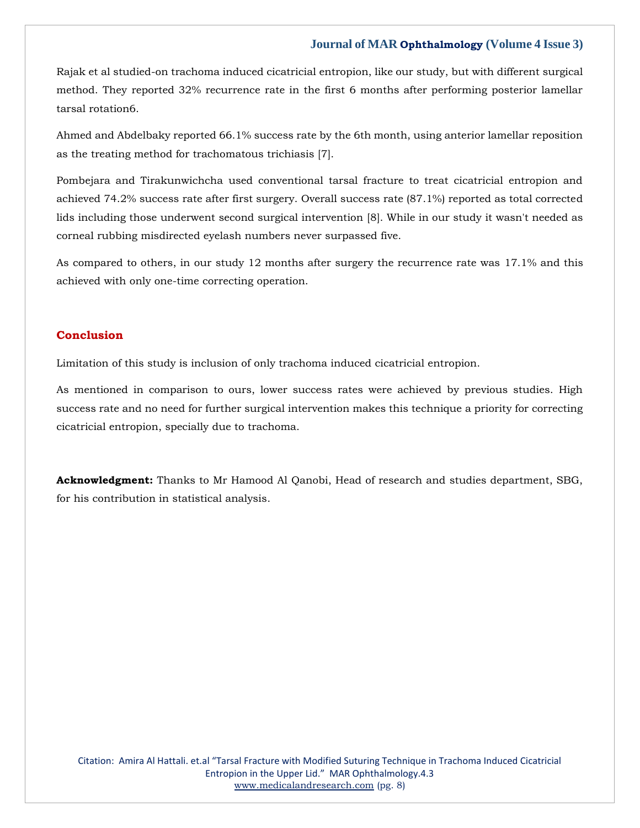Rajak et al studied-on trachoma induced cicatricial entropion, like our study, but with different surgical method. They reported 32% recurrence rate in the first 6 months after performing posterior lamellar tarsal rotation6.

Ahmed and Abdelbaky reported 66.1% success rate by the 6th month, using anterior lamellar reposition as the treating method for trachomatous trichiasis [7].

Pombejara and Tirakunwichcha used conventional tarsal fracture to treat cicatricial entropion and achieved 74.2% success rate after first surgery. Overall success rate (87.1%) reported as total corrected lids including those underwent second surgical intervention [8]. While in our study it wasn't needed as corneal rubbing misdirected eyelash numbers never surpassed five.

As compared to others, in our study 12 months after surgery the recurrence rate was 17.1% and this achieved with only one-time correcting operation.

### **Conclusion**

Limitation of this study is inclusion of only trachoma induced cicatricial entropion.

As mentioned in comparison to ours, lower success rates were achieved by previous studies. High success rate and no need for further surgical intervention makes this technique a priority for correcting cicatricial entropion, specially due to trachoma.

**Acknowledgment:** Thanks to Mr Hamood Al Qanobi, Head of research and studies department, SBG, for his contribution in statistical analysis.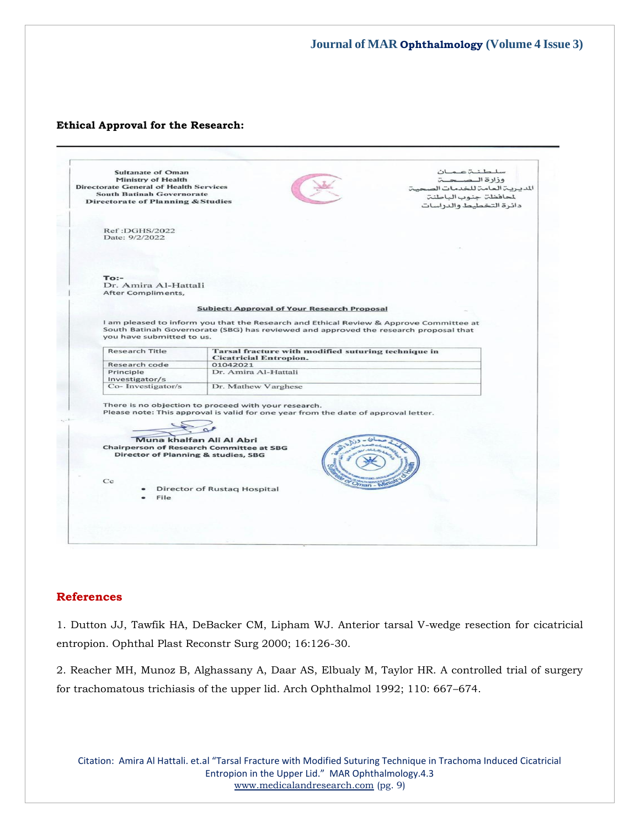#### **Ethical Approval for the Research:**

|                    | <b>Sultanate of Oman</b>                                                                                          |                                                                                        | سلطنةعمان                      |
|--------------------|-------------------------------------------------------------------------------------------------------------------|----------------------------------------------------------------------------------------|--------------------------------|
| Ministry of Health |                                                                                                                   |                                                                                        | وزارة الصحية                   |
|                    | <b>Directorate General of Health Services</b>                                                                     |                                                                                        | المديرية العامة للخدمات الصحية |
|                    | <b>South Batinah Governorate</b>                                                                                  |                                                                                        | لمحافظة جنوب الباطنة           |
|                    | <b>Directorate of Planning &amp; Studies</b>                                                                      |                                                                                        | دائرة التخطيط والدراسات        |
|                    |                                                                                                                   |                                                                                        |                                |
|                    | Ref:DGHS/2022                                                                                                     |                                                                                        |                                |
|                    | Date: 9/2/2022                                                                                                    |                                                                                        |                                |
|                    |                                                                                                                   |                                                                                        |                                |
|                    |                                                                                                                   |                                                                                        |                                |
|                    |                                                                                                                   |                                                                                        |                                |
|                    |                                                                                                                   |                                                                                        |                                |
|                    | $To:$ -                                                                                                           |                                                                                        |                                |
|                    | Dr. Amira Al-Hattali                                                                                              |                                                                                        |                                |
|                    | After Compliments.                                                                                                |                                                                                        |                                |
|                    |                                                                                                                   |                                                                                        |                                |
|                    |                                                                                                                   | <b>Subject: Approval of Your Research Proposal</b>                                     |                                |
|                    |                                                                                                                   |                                                                                        |                                |
|                    |                                                                                                                   | I am pleased to inform you that the Research and Ethical Review & Approve Committee at |                                |
|                    | South Batinah Governorate (SBG) has reviewed and approved the research proposal that<br>you have submitted to us. |                                                                                        |                                |
|                    |                                                                                                                   |                                                                                        |                                |
|                    | <b>Research Title</b>                                                                                             | Tarsal fracture with modified suturing technique in                                    |                                |
|                    |                                                                                                                   | <b>Cicatricial Entropion.</b>                                                          |                                |
|                    | Research code                                                                                                     | 01042021                                                                               |                                |
|                    | Principle                                                                                                         | Dr. Amira Al-Hattali                                                                   |                                |
|                    | Investigator/s<br>Co-Investigator/s                                                                               | Dr. Mathew Varghese                                                                    |                                |
|                    |                                                                                                                   |                                                                                        |                                |
|                    |                                                                                                                   | There is no objection to proceed with your research.                                   |                                |
|                    |                                                                                                                   | Please note: This approval is valid for one year from the date of approval letter.     |                                |
|                    |                                                                                                                   |                                                                                        |                                |
|                    |                                                                                                                   |                                                                                        |                                |
|                    |                                                                                                                   |                                                                                        |                                |
|                    |                                                                                                                   |                                                                                        |                                |
|                    | Muna khalfan Ali Al Abri                                                                                          |                                                                                        |                                |
|                    | <b>Chairperson of Research Committee at SBG</b>                                                                   |                                                                                        |                                |
|                    | Director of Planning & studies, SBG                                                                               |                                                                                        |                                |
|                    |                                                                                                                   |                                                                                        |                                |
|                    |                                                                                                                   |                                                                                        |                                |
|                    | Cc                                                                                                                |                                                                                        |                                |
|                    |                                                                                                                   | Oman - N<br>Director of Rustaq Hospital                                                |                                |
|                    | File                                                                                                              |                                                                                        |                                |
|                    |                                                                                                                   |                                                                                        |                                |
|                    |                                                                                                                   |                                                                                        |                                |
|                    |                                                                                                                   |                                                                                        |                                |

#### **References**

1. Dutton JJ, Tawfik HA, DeBacker CM, Lipham WJ. Anterior tarsal V-wedge resection for cicatricial entropion. Ophthal Plast Reconstr Surg 2000; 16:126-30.

2. Reacher MH, Munoz B, Alghassany A, Daar AS, Elbualy M, Taylor HR. A controlled trial of surgery for trachomatous trichiasis of the upper lid. Arch Ophthalmol 1992; 110: 667–674.

Citation: Amira Al Hattali. et.al "Tarsal Fracture with Modified Suturing Technique in Trachoma Induced Cicatricial Entropion in the Upper Lid." MAR Ophthalmology.4.3 [www.medicalandresearch.com](http://www.medicalandresearch.com/) (pg. 9)